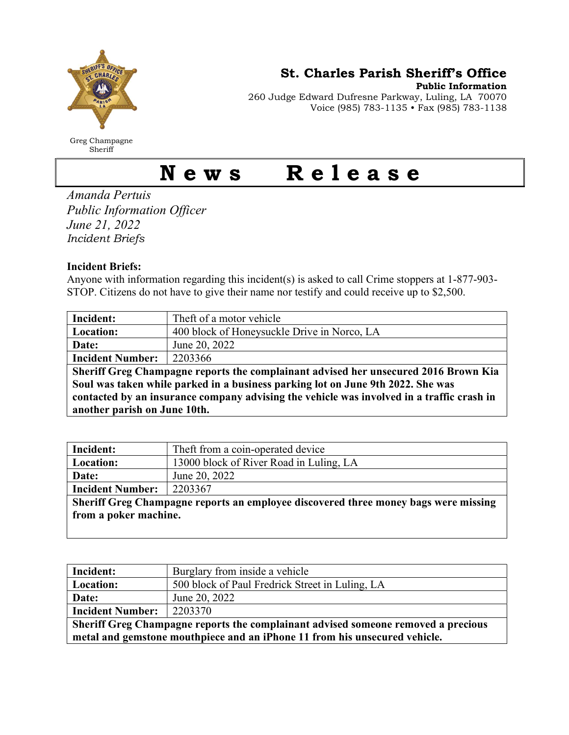

Greg Champagne Sheriff

St. Charles Parish Sheriff's Office

Public Information

260 Judge Edward Dufresne Parkway, Luling, LA 70070 Voice (985) 783-1135 • Fax (985) 783-1138

## News Release

Amanda Pertuis Public Information Officer June 21, 2022 Incident Briefs

## Incident Briefs:

Anyone with information regarding this incident(s) is asked to call Crime stoppers at 1-877-903- STOP. Citizens do not have to give their name nor testify and could receive up to \$2,500.

| Incident:                                                                                 | Theft of a motor vehicle                    |  |
|-------------------------------------------------------------------------------------------|---------------------------------------------|--|
| Location:                                                                                 | 400 block of Honeysuckle Drive in Norco, LA |  |
| Date:                                                                                     | June 20, 2022                               |  |
| <b>Incident Number:</b>                                                                   | 2203366                                     |  |
| Sheriff Greg Champagne reports the complainant advised her unsecured 2016 Brown Kia       |                                             |  |
| Soul was taken while parked in a business parking lot on June 9th 2022. She was           |                                             |  |
| contacted by an insurance company advising the vehicle was involved in a traffic crash in |                                             |  |
| another parish on June 10th.                                                              |                                             |  |

| Incident:                                                                           | Theft from a coin-operated device       |  |
|-------------------------------------------------------------------------------------|-----------------------------------------|--|
| Location:                                                                           | 13000 block of River Road in Luling, LA |  |
| Date:                                                                               | June 20, 2022                           |  |
| <b>Incident Number:</b>                                                             | 2203367                                 |  |
| Sheriff Greg Champagne reports an employee discovered three money bags were missing |                                         |  |
| from a poker machine.                                                               |                                         |  |
|                                                                                     |                                         |  |

| Incident:                                                                                                                                                       | Burglary from inside a vehicle                  |
|-----------------------------------------------------------------------------------------------------------------------------------------------------------------|-------------------------------------------------|
| Location:                                                                                                                                                       | 500 block of Paul Fredrick Street in Luling, LA |
| Date:                                                                                                                                                           | June 20, 2022                                   |
| <b>Incident Number:</b>                                                                                                                                         | 2203370                                         |
| Sheriff Greg Champagne reports the complainant advised someone removed a precious<br>metal and gemstone mouthpiece and an iPhone 11 from his unsecured vehicle. |                                                 |